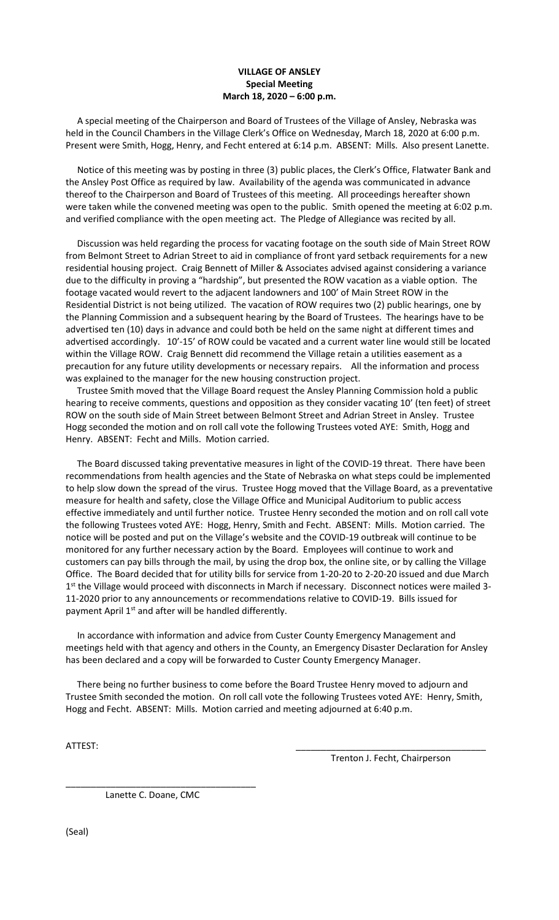## **VILLAGE OF ANSLEY Special Meeting March 18, 2020 – 6:00 p.m.**

 A special meeting of the Chairperson and Board of Trustees of the Village of Ansley, Nebraska was held in the Council Chambers in the Village Clerk's Office on Wednesday, March 18, 2020 at 6:00 p.m. Present were Smith, Hogg, Henry, and Fecht entered at 6:14 p.m. ABSENT: Mills. Also present Lanette.

 Notice of this meeting was by posting in three (3) public places, the Clerk's Office, Flatwater Bank and the Ansley Post Office as required by law. Availability of the agenda was communicated in advance thereof to the Chairperson and Board of Trustees of this meeting. All proceedings hereafter shown were taken while the convened meeting was open to the public. Smith opened the meeting at 6:02 p.m. and verified compliance with the open meeting act. The Pledge of Allegiance was recited by all.

 Discussion was held regarding the process for vacating footage on the south side of Main Street ROW from Belmont Street to Adrian Street to aid in compliance of front yard setback requirements for a new residential housing project. Craig Bennett of Miller & Associates advised against considering a variance due to the difficulty in proving a "hardship", but presented the ROW vacation as a viable option. The footage vacated would revert to the adjacent landowners and 100' of Main Street ROW in the Residential District is not being utilized. The vacation of ROW requires two (2) public hearings, one by the Planning Commission and a subsequent hearing by the Board of Trustees. The hearings have to be advertised ten (10) days in advance and could both be held on the same night at different times and advertised accordingly. 10'-15' of ROW could be vacated and a current water line would still be located within the Village ROW. Craig Bennett did recommend the Village retain a utilities easement as a precaution for any future utility developments or necessary repairs. All the information and process was explained to the manager for the new housing construction project.

 Trustee Smith moved that the Village Board request the Ansley Planning Commission hold a public hearing to receive comments, questions and opposition as they consider vacating 10' (ten feet) of street ROW on the south side of Main Street between Belmont Street and Adrian Street in Ansley. Trustee Hogg seconded the motion and on roll call vote the following Trustees voted AYE: Smith, Hogg and Henry. ABSENT: Fecht and Mills. Motion carried.

 The Board discussed taking preventative measures in light of the COVID-19 threat. There have been recommendations from health agencies and the State of Nebraska on what steps could be implemented to help slow down the spread of the virus. Trustee Hogg moved that the Village Board, as a preventative measure for health and safety, close the Village Office and Municipal Auditorium to public access effective immediately and until further notice. Trustee Henry seconded the motion and on roll call vote the following Trustees voted AYE: Hogg, Henry, Smith and Fecht. ABSENT: Mills. Motion carried. The notice will be posted and put on the Village's website and the COVID-19 outbreak will continue to be monitored for any further necessary action by the Board. Employees will continue to work and customers can pay bills through the mail, by using the drop box, the online site, or by calling the Village Office. The Board decided that for utility bills for service from 1-20-20 to 2-20-20 issued and due March 1<sup>st</sup> the Village would proceed with disconnects in March if necessary. Disconnect notices were mailed 3-11-2020 prior to any announcements or recommendations relative to COVID-19. Bills issued for payment April 1<sup>st</sup> and after will be handled differently.

 In accordance with information and advice from Custer County Emergency Management and meetings held with that agency and others in the County, an Emergency Disaster Declaration for Ansley has been declared and a copy will be forwarded to Custer County Emergency Manager.

 There being no further business to come before the Board Trustee Henry moved to adjourn and Trustee Smith seconded the motion. On roll call vote the following Trustees voted AYE: Henry, Smith, Hogg and Fecht. ABSENT: Mills. Motion carried and meeting adjourned at 6:40 p.m.

ATTEST: \_\_\_\_\_\_\_\_\_\_\_\_\_\_\_\_\_\_\_\_\_\_\_\_\_\_\_\_\_\_\_\_\_\_\_\_\_\_

Trenton J. Fecht, Chairperson

\_\_\_\_\_\_\_\_\_\_\_\_\_\_\_\_\_\_\_\_\_\_\_\_\_\_\_\_\_\_\_\_\_\_\_\_\_\_ Lanette C. Doane, CMC

(Seal)